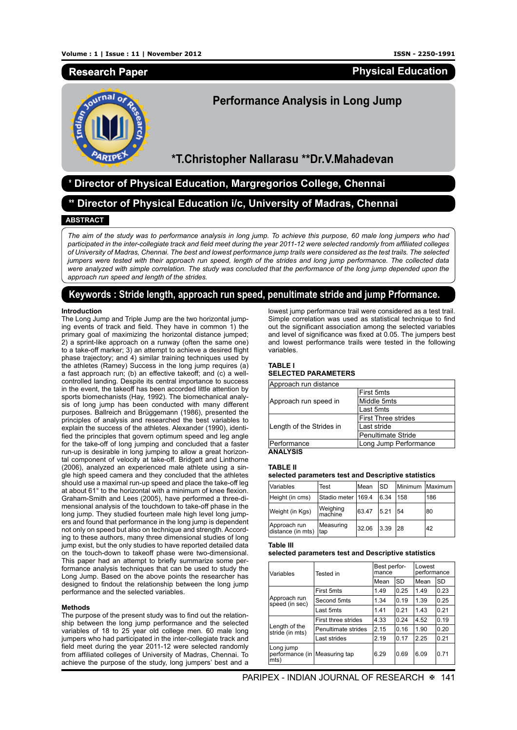# **Research Paper**

**Physical Education**



# **Performance Analysis in Long Jump**

**\*T.Christopher Nallarasu \*\*Dr.V.Mahadevan**

# **\* Director of Physical Education, Margregorios College, Chennai**

**\*\* Director of Physical Education i/c, University of Madras, Chennai**

## **ABSTRACT**

*The aim of the study was to performance analysis in long jump. To achieve this purpose, 60 male long jumpers who had participated in the inter-collegiate track and field meet during the year 2011-12 were selected randomly from affiliated colleges of University of Madras, Chennai. The best and lowest performance jump trails were considered as the test trails. The selected jumpers were tested with their approach run speed, length of the strides and long jump performance. The collected data were analyzed with simple correlation. The study was concluded that the performance of the long jump depended upon the approach run speed and length of the strides.* 

# **Keywords : Stride length, approach run speed, penultimate stride and jump Prformance.**

### **Introduction**

The Long Jump and Triple Jump are the two horizontal jumping events of track and field. They have in common 1) the primary goal of maximizing the horizontal distance jumped; 2) a sprint-like approach on a runway (often the same one) to a take-off marker; 3) an attempt to achieve a desired flight phase trajectory; and 4) similar training techniques used by the athletes (Ramey) Success in the long jump requires (a) a fast approach run; (b) an effective takeoff; and (c) a wellcontrolled landing. Despite its central importance to success in the event, the takeoff has been accorded little attention by sports biomechanists (Hay, 1992). The biomechanical analysis of long jump has been conducted with many different purposes. Ballreich and Brüggemann (1986), presented the principles of analysis and researched the best variables to explain the success of the athletes. Alexander (1990), identified the principles that govern optimum speed and leg angle for the take-off of long jumping and concluded that a faster run-up is desirable in long jumping to allow a great horizontal component of velocity at take-off. Bridgett and Linthorne (2006), analyzed an experienced male athlete using a single high speed camera and they concluded that the athletes should use a maximal run-up speed and place the take-off leg at about 61° to the horizontal with a minimum of knee flexion. Graham-Smith and Lees (2005), have performed a three-dimensional analysis of the touchdown to take-off phase in the long jump. They studied fourteen male high level long jumpers and found that performance in the long jump is dependent not only on speed but also on technique and strength. According to these authors, many three dimensional studies of long jump exist, but the only studies to have reported detailed data on the touch-down to takeoff phase were two-dimensional. This paper had an attempt to briefly summarize some performance analysis techniques that can be used to study the Long Jump. Based on the above points the researcher has designed to findout the relationship between the long jump performance and the selected variables.

#### **Methods**

The purpose of the present study was to find out the relationship between the long jump performance and the selected variables of 18 to 25 year old college men. 60 male long jumpers who had participated in the inter-collegiate track and field meet during the year 2011-12 were selected randomly from affiliated colleges of University of Madras, Chennai. To achieve the purpose of the study, long jumpers' best and a

lowest jump performance trail were considered as a test trail. Simple correlation was used as statistical technique to find out the significant association among the selected variables and level of significance was fixed at  $0.05$ . The jumpers best and lowest performance trails were tested in the following variables.

# **TABLE I**

# **SELECTED PARAMETERS**

| Approach run distance    |                            |  |
|--------------------------|----------------------------|--|
|                          | <b>First 5mts</b>          |  |
| Approach run speed in    | Middle 5mts                |  |
|                          | Last 5mts                  |  |
|                          | <b>First Three strides</b> |  |
| Length of the Strides in | Last stride                |  |
|                          | Penultimate Stride         |  |
| Performance              | Long Jump Performance      |  |
| A NI A I VOIO            |                            |  |

**ANALYSIS**

## **TABLE II**

## **selected parameters test and Descriptive statistics**

| <i><b>Variables</b></i>           | Test                 | Mean  | lsd  | Minimum Maximum |     |
|-----------------------------------|----------------------|-------|------|-----------------|-----|
| Height (in cms)                   | Stadio meter   169.4 |       | 6.34 | 158             | 186 |
| Weight (in Kgs)                   | Weighing<br>machine  | 63.47 | 5.21 | 54              | 80  |
| Approach run<br>distance (in mts) | Measuring<br>tap     | 32.06 | 3.39 | 28              | 42  |

**Table III**

## **selected parameters test and Descriptive statistics**

| Variables                                          | Tested in           | Best perfor-<br>mance |           | Lowest<br>performance |           |
|----------------------------------------------------|---------------------|-----------------------|-----------|-----------------------|-----------|
|                                                    |                     | Mean                  | <b>SD</b> | Mean                  | <b>SD</b> |
| Approach run<br>speed (in sec)                     | First 5mts          | 1.49                  | 0.25      | 1.49                  | 0.23      |
|                                                    | Second 5mts         | 1.34                  | 0.19      | 1.39                  | 0.25      |
|                                                    | Last 5mts           | 1.41                  | 0.21      | 1.43                  | 0.21      |
| Length of the<br>stride (in mts)                   | First three strides | 4.33                  | 0.24      | 4.52                  | 0.19      |
|                                                    | Penultimate strides | 2.15                  | 0.16      | 1.90                  | 0.20      |
|                                                    | Last strides        | 2.19                  | 0.17      | 2.25                  | 0.21      |
| Long jump<br>performance (in Measuring tap<br>mts) |                     | 6.29                  | 0.69      | 6.09                  | 0.71      |